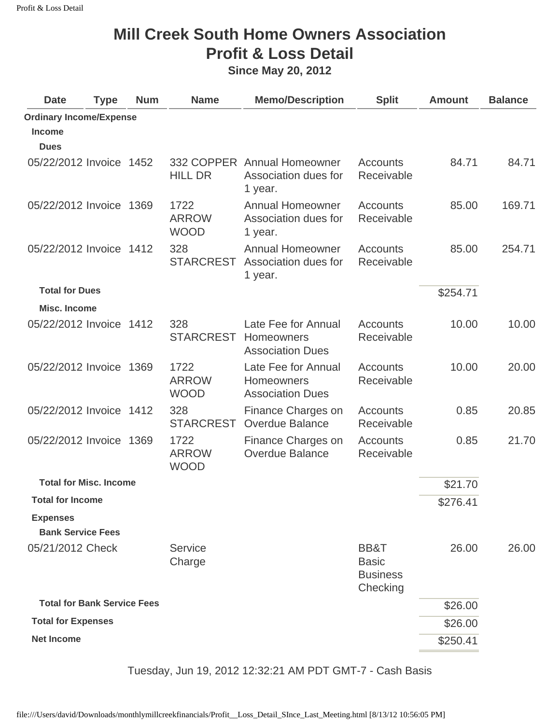## **Mill Creek South Home Owners Association Profit & Loss Detail**

**Since May 20, 2012** 

| <b>Date</b>                        | <b>Type</b> | <b>Num</b> | <b>Name</b>                         | <b>Memo/Description</b>                                             | <b>Split</b>                                        | <b>Amount</b> | <b>Balance</b> |
|------------------------------------|-------------|------------|-------------------------------------|---------------------------------------------------------------------|-----------------------------------------------------|---------------|----------------|
| <b>Ordinary Income/Expense</b>     |             |            |                                     |                                                                     |                                                     |               |                |
| <b>Income</b>                      |             |            |                                     |                                                                     |                                                     |               |                |
| <b>Dues</b>                        |             |            |                                     |                                                                     |                                                     |               |                |
| 05/22/2012 Invoice 1452            |             |            | <b>HILL DR</b>                      | 332 COPPER Annual Homeowner<br>Association dues for<br>1 year.      | <b>Accounts</b><br>Receivable                       | 84.71         | 84.71          |
| 05/22/2012 Invoice 1369            |             |            | 1722<br><b>ARROW</b><br><b>WOOD</b> | <b>Annual Homeowner</b><br>Association dues for<br>1 year.          | <b>Accounts</b><br>Receivable                       | 85.00         | 169.71         |
| 05/22/2012 Invoice 1412            |             |            | 328<br><b>STARCREST</b>             | <b>Annual Homeowner</b><br>Association dues for<br>1 year.          | <b>Accounts</b><br>Receivable                       | 85.00         | 254.71         |
| <b>Total for Dues</b>              |             |            |                                     |                                                                     |                                                     | \$254.71      |                |
| <b>Misc. Income</b>                |             |            |                                     |                                                                     |                                                     |               |                |
| 05/22/2012 Invoice 1412            |             |            | 328<br><b>STARCREST</b>             | Late Fee for Annual<br><b>Homeowners</b><br><b>Association Dues</b> | <b>Accounts</b><br>Receivable                       | 10.00         | 10.00          |
| 05/22/2012 Invoice 1369            |             |            | 1722<br><b>ARROW</b><br><b>WOOD</b> | Late Fee for Annual<br><b>Homeowners</b><br><b>Association Dues</b> | <b>Accounts</b><br>Receivable                       | 10.00         | 20.00          |
| 05/22/2012 Invoice 1412            |             |            | 328<br><b>STARCREST</b>             | Finance Charges on<br><b>Overdue Balance</b>                        | Accounts<br>Receivable                              | 0.85          | 20.85          |
| 05/22/2012 Invoice 1369            |             |            | 1722<br><b>ARROW</b><br><b>WOOD</b> | Finance Charges on<br><b>Overdue Balance</b>                        | Accounts<br>Receivable                              | 0.85          | 21.70          |
| <b>Total for Misc. Income</b>      |             |            |                                     |                                                                     |                                                     | \$21.70       |                |
| <b>Total for Income</b>            |             |            |                                     |                                                                     |                                                     | \$276.41      |                |
| <b>Expenses</b>                    |             |            |                                     |                                                                     |                                                     |               |                |
| <b>Bank Service Fees</b>           |             |            |                                     |                                                                     |                                                     |               |                |
| 05/21/2012 Check                   |             |            | Service<br>Charge                   |                                                                     | BB&T<br><b>Basic</b><br><b>Business</b><br>Checking | 26.00         | 26.00          |
| <b>Total for Bank Service Fees</b> |             |            |                                     |                                                                     |                                                     | \$26.00       |                |
| <b>Total for Expenses</b>          |             |            |                                     |                                                                     |                                                     | \$26.00       |                |
| <b>Net Income</b>                  |             |            |                                     |                                                                     |                                                     | \$250.41      |                |
|                                    |             |            |                                     |                                                                     |                                                     |               |                |

Tuesday, Jun 19, 2012 12:32:21 AM PDT GMT-7 - Cash Basis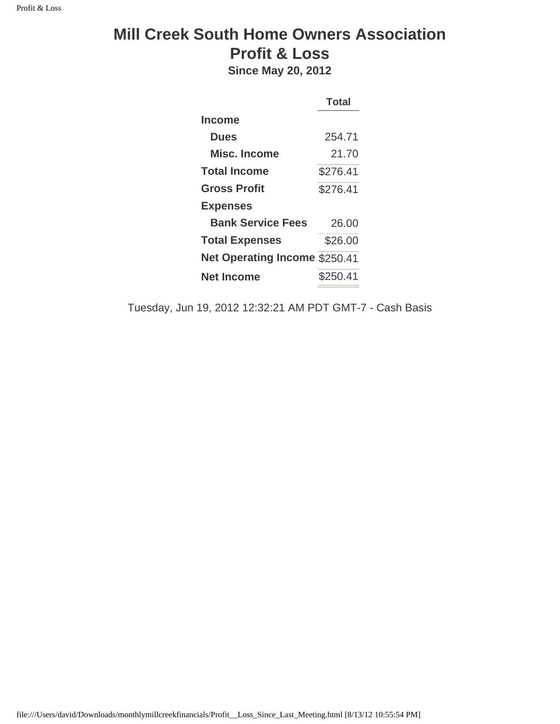## **Mill Creek South Home Owners Association Profit & Loss**

**Since May 20, 2012** 

|                                      | <b>Total</b> |
|--------------------------------------|--------------|
| Income                               |              |
| <b>Dues</b>                          | 254.71       |
| <b>Misc. Income</b>                  | 21.70        |
| Total Income                         | \$276.41     |
| <b>Gross Profit</b>                  | \$276.41     |
| <b>Expenses</b>                      |              |
| <b>Bank Service Fees</b>             | 26.00        |
| <b>Total Expenses</b>                | \$26.00      |
| <b>Net Operating Income \$250.41</b> |              |
| <b>Net Income</b>                    | \$250.41     |
|                                      |              |

Tuesday, Jun 19, 2012 12:32:21 AM PDT GMT-7 - Cash Basis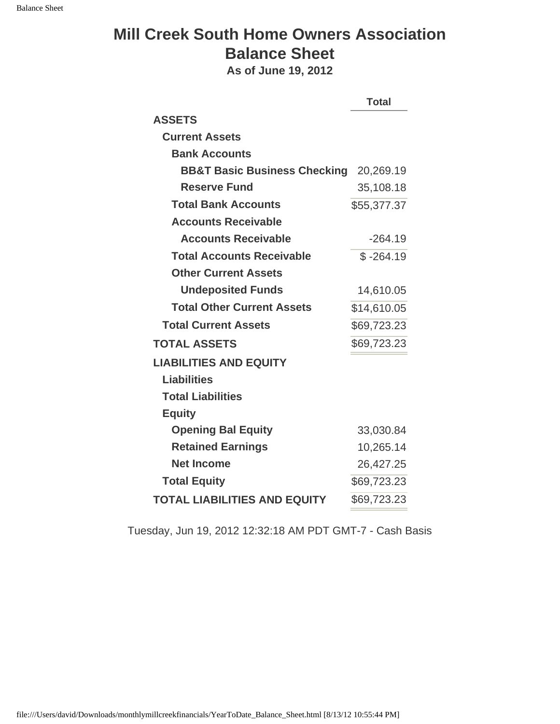## **Mill Creek South Home Owners Association Balance Sheet**

**As of June 19, 2012** 

|                                         | <b>Total</b> |
|-----------------------------------------|--------------|
| <b>ASSETS</b>                           |              |
| <b>Current Assets</b>                   |              |
| <b>Bank Accounts</b>                    |              |
| <b>BB&amp;T Basic Business Checking</b> | 20,269.19    |
| <b>Reserve Fund</b>                     | 35,108.18    |
| <b>Total Bank Accounts</b>              | \$55,377.37  |
| <b>Accounts Receivable</b>              |              |
| <b>Accounts Receivable</b>              | $-264.19$    |
| <b>Total Accounts Receivable</b>        | $$ -264.19$  |
| <b>Other Current Assets</b>             |              |
| <b>Undeposited Funds</b>                | 14,610.05    |
| <b>Total Other Current Assets</b>       | \$14,610.05  |
| <b>Total Current Assets</b>             | \$69,723.23  |
| <b>TOTAL ASSETS</b>                     | \$69,723.23  |
| <b>LIABILITIES AND EQUITY</b>           |              |
| <b>Liabilities</b>                      |              |
| <b>Total Liabilities</b>                |              |
| <b>Equity</b>                           |              |
| <b>Opening Bal Equity</b>               | 33,030.84    |
| <b>Retained Earnings</b>                | 10,265.14    |
| <b>Net Income</b>                       | 26,427.25    |
| <b>Total Equity</b>                     | \$69,723.23  |
| <b>TOTAL LIABILITIES AND EQUITY</b>     | \$69,723.23  |

Tuesday, Jun 19, 2012 12:32:18 AM PDT GMT-7 - Cash Basis